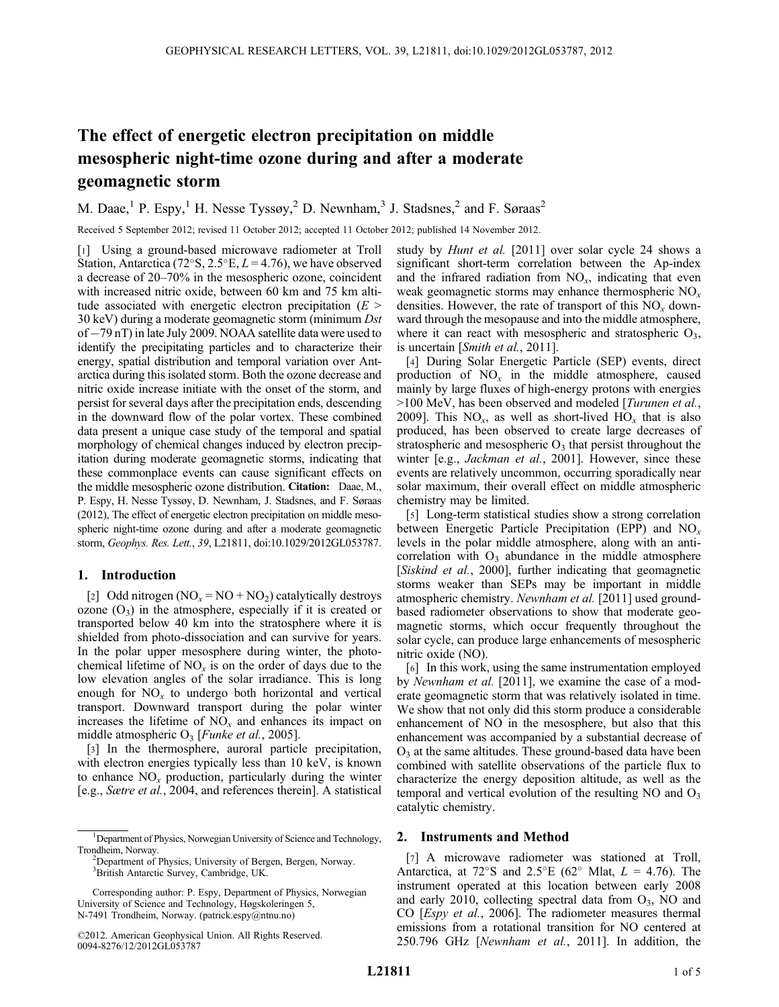# The effect of energetic electron precipitation on middle mesospheric night-time ozone during and after a moderate geomagnetic storm

M. Daae,<sup>1</sup> P. Espy,<sup>1</sup> H. Nesse Tyssøy,<sup>2</sup> D. Newnham,<sup>3</sup> J. Stadsnes,<sup>2</sup> and F. Søraas<sup>2</sup>

Received 5 September 2012; revised 11 October 2012; accepted 11 October 2012; published 14 November 2012.

[1] Using a ground-based microwave radiometer at Troll Station, Antarctica (72°S, 2.5°E,  $L = 4.76$ ), we have observed a decrease of 20–70% in the mesospheric ozone, coincident with increased nitric oxide, between 60 km and 75 km altitude associated with energetic electron precipitation  $(E >$ 30 keV) during a moderate geomagnetic storm (minimum Dst of  $-79$  nT) in late July 2009. NOAA satellite data were used to identify the precipitating particles and to characterize their energy, spatial distribution and temporal variation over Antarctica during this isolated storm. Both the ozone decrease and nitric oxide increase initiate with the onset of the storm, and persist for several days after the precipitation ends, descending in the downward flow of the polar vortex. These combined data present a unique case study of the temporal and spatial morphology of chemical changes induced by electron precipitation during moderate geomagnetic storms, indicating that these commonplace events can cause significant effects on the middle mesospheric ozone distribution. Citation: Daae, M., P. Espy, H. Nesse Tyssøy, D. Newnham, J. Stadsnes, and F. Søraas (2012), The effect of energetic electron precipitation on middle mesospheric night-time ozone during and after a moderate geomagnetic storm, Geophys. Res. Lett., 39, L21811, doi:10.1029/2012GL053787.

## 1. Introduction

[2] Odd nitrogen ( $NO_x = NO + NO_2$ ) catalytically destroys ozone  $(O_3)$  in the atmosphere, especially if it is created or transported below 40 km into the stratosphere where it is shielded from photo-dissociation and can survive for years. In the polar upper mesosphere during winter, the photochemical lifetime of  $NO<sub>x</sub>$  is on the order of days due to the low elevation angles of the solar irradiance. This is long enough for  $NO<sub>x</sub>$  to undergo both horizontal and vertical transport. Downward transport during the polar winter increases the lifetime of  $NO<sub>x</sub>$  and enhances its impact on middle atmospheric  $O_3$  [*Funke et al.*, 2005].

[3] In the thermosphere, auroral particle precipitation, with electron energies typically less than 10 keV, is known to enhance  $NO<sub>x</sub>$  production, particularly during the winter [e.g., Sætre et al., 2004, and references therein]. A statistical study by Hunt et al. [2011] over solar cycle 24 shows a significant short-term correlation between the Ap-index and the infrared radiation from  $NO<sub>x</sub>$ , indicating that even weak geomagnetic storms may enhance thermospheric  $NO<sub>x</sub>$ densities. However, the rate of transport of this  $NO<sub>x</sub>$  downward through the mesopause and into the middle atmosphere, where it can react with mesospheric and stratospheric  $O_3$ , is uncertain [Smith et al., 2011].

[4] During Solar Energetic Particle (SEP) events, direct production of  $NO<sub>x</sub>$  in the middle atmosphere, caused mainly by large fluxes of high-energy protons with energies >100 MeV, has been observed and modeled [Turunen et al., 2009]. This  $NO_x$ , as well as short-lived  $HO_x$  that is also produced, has been observed to create large decreases of stratospheric and mesospheric  $O_3$  that persist throughout the winter [e.g., *Jackman et al.*, 2001]. However, since these events are relatively uncommon, occurring sporadically near solar maximum, their overall effect on middle atmospheric chemistry may be limited.

[5] Long-term statistical studies show a strong correlation between Energetic Particle Precipitation (EPP) and  $NO<sub>x</sub>$ levels in the polar middle atmosphere, along with an anticorrelation with  $O_3$  abundance in the middle atmosphere [Siskind et al., 2000], further indicating that geomagnetic storms weaker than SEPs may be important in middle atmospheric chemistry. Newnham et al. [2011] used groundbased radiometer observations to show that moderate geomagnetic storms, which occur frequently throughout the solar cycle, can produce large enhancements of mesospheric nitric oxide (NO).

[6] In this work, using the same instrumentation employed by Newnham et al. [2011], we examine the case of a moderate geomagnetic storm that was relatively isolated in time. We show that not only did this storm produce a considerable enhancement of NO in the mesosphere, but also that this enhancement was accompanied by a substantial decrease of  $O<sub>3</sub>$  at the same altitudes. These ground-based data have been combined with satellite observations of the particle flux to characterize the energy deposition altitude, as well as the temporal and vertical evolution of the resulting NO and  $O_3$ catalytic chemistry.

#### 2. Instruments and Method

[7] A microwave radiometer was stationed at Troll, Antarctica, at  $72^{\circ}$ S and  $2.5^{\circ}$ E (62° Mlat,  $L = 4.76$ ). The instrument operated at this location between early 2008 and early 2010, collecting spectral data from  $O_3$ , NO and CO [Espy et al., 2006]. The radiometer measures thermal emissions from a rotational transition for NO centered at 250.796 GHz [Newnham et al., 2011]. In addition, the

<sup>&</sup>lt;sup>1</sup>Department of Physics, Norwegian University of Science and Technology, Trondheim, Norway. <sup>2</sup>

<sup>&</sup>lt;sup>2</sup>Department of Physics, University of Bergen, Bergen, Norway. 3 British Antarctic Survey, Cambridge, UK.

Corresponding author: P. Espy, Department of Physics, Norwegian University of Science and Technology, Høgskoleringen 5, N-7491 Trondheim, Norway. (patrick.espy@ntnu.no)

<sup>©2012.</sup> American Geophysical Union. All Rights Reserved. 0094-8276/12/2012GL053787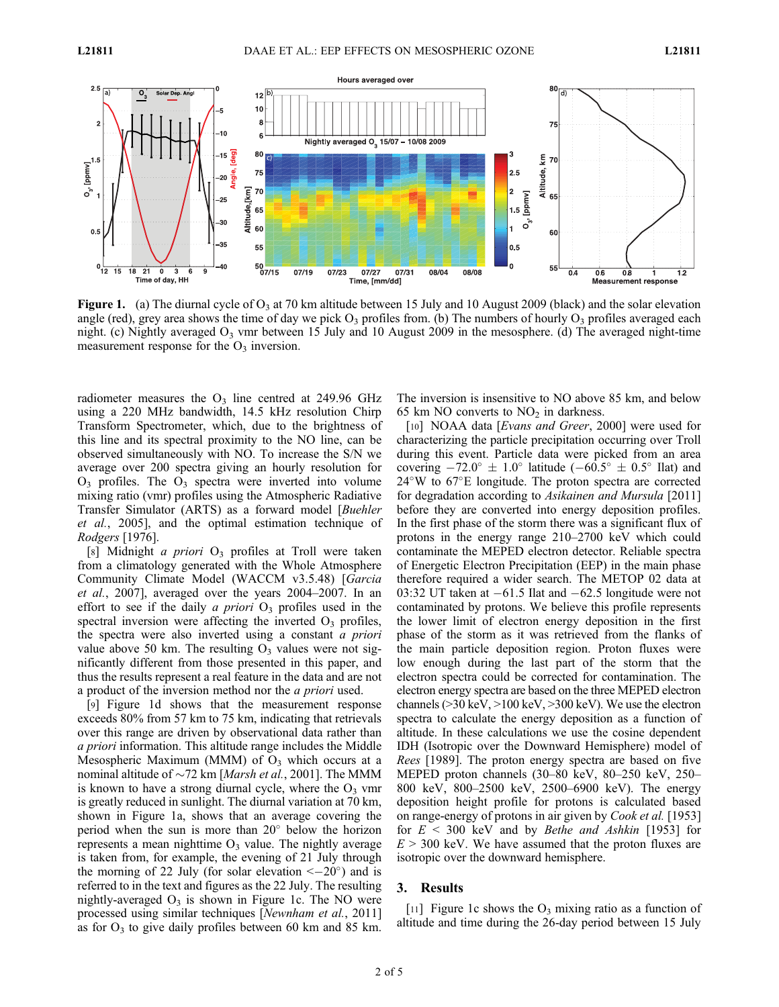

**Figure 1.** (a) The diurnal cycle of  $O_3$  at 70 km altitude between 15 July and 10 August 2009 (black) and the solar elevation angle (red), grey area shows the time of day we pick  $O_3$  profiles from. (b) The numbers of hourly  $O_3$  profiles averaged each night. (c) Nightly averaged  $O_3$  vmr between 15 July and 10 August 2009 in the mesosphere. (d) The averaged night-time measurement response for the  $O_3$  inversion.

radiometer measures the  $O_3$  line centred at 249.96 GHz using a 220 MHz bandwidth, 14.5 kHz resolution Chirp Transform Spectrometer, which, due to the brightness of this line and its spectral proximity to the NO line, can be observed simultaneously with NO. To increase the S/N we average over 200 spectra giving an hourly resolution for  $O_3$  profiles. The  $O_3$  spectra were inverted into volume mixing ratio (vmr) profiles using the Atmospheric Radiative Transfer Simulator (ARTS) as a forward model [Buehler et al., 2005], and the optimal estimation technique of Rodgers [1976].

[8] Midnight a priori  $O_3$  profiles at Troll were taken from a climatology generated with the Whole Atmosphere Community Climate Model (WACCM v3.5.48) [Garcia et al., 2007], averaged over the years 2004–2007. In an effort to see if the daily a priori  $O_3$  profiles used in the spectral inversion were affecting the inverted  $O_3$  profiles, the spectra were also inverted using a constant a priori value above 50 km. The resulting  $O_3$  values were not significantly different from those presented in this paper, and thus the results represent a real feature in the data and are not a product of the inversion method nor the a priori used.

[9] Figure 1d shows that the measurement response exceeds 80% from 57 km to 75 km, indicating that retrievals over this range are driven by observational data rather than a priori information. This altitude range includes the Middle Mesospheric Maximum (MMM) of  $O<sub>3</sub>$  which occurs at a nominal altitude of  $\sim$ 72 km [*Marsh et al.*, 2001]. The MMM is known to have a strong diurnal cycle, where the  $O_3$  vmr is greatly reduced in sunlight. The diurnal variation at 70 km, shown in Figure 1a, shows that an average covering the period when the sun is more than  $20^{\circ}$  below the horizon represents a mean nighttime  $O_3$  value. The nightly average is taken from, for example, the evening of 21 July through the morning of 22 July (for solar elevation  $\langle -20^{\circ} \rangle$  and is referred to in the text and figures as the 22 July. The resulting nightly-averaged  $O_3$  is shown in Figure 1c. The NO were processed using similar techniques [Newnham et al., 2011] as for  $O_3$  to give daily profiles between 60 km and 85 km.

The inversion is insensitive to NO above 85 km, and below 65 km NO converts to  $NO<sub>2</sub>$  in darkness.

[10] NOAA data [Evans and Greer, 2000] were used for characterizing the particle precipitation occurring over Troll during this event. Particle data were picked from an area covering  $-72.0^{\circ} \pm 1.0^{\circ}$  latitude ( $-60.5^{\circ} \pm 0.5^{\circ}$  Ilat) and  $24^{\circ}$ W to  $67^{\circ}$ E longitude. The proton spectra are corrected for degradation according to Asikainen and Mursula [2011] before they are converted into energy deposition profiles. In the first phase of the storm there was a significant flux of protons in the energy range 210–2700 keV which could contaminate the MEPED electron detector. Reliable spectra of Energetic Electron Precipitation (EEP) in the main phase therefore required a wider search. The METOP 02 data at 03:32 UT taken at  $-61.5$  Ilat and  $-62.5$  longitude were not contaminated by protons. We believe this profile represents the lower limit of electron energy deposition in the first phase of the storm as it was retrieved from the flanks of the main particle deposition region. Proton fluxes were low enough during the last part of the storm that the electron spectra could be corrected for contamination. The electron energy spectra are based on the three MEPED electron channels (>30 keV, >100 keV, >300 keV). We use the electron spectra to calculate the energy deposition as a function of altitude. In these calculations we use the cosine dependent IDH (Isotropic over the Downward Hemisphere) model of Rees [1989]. The proton energy spectra are based on five MEPED proton channels (30–80 keV, 80–250 keV, 250– 800 keV, 800–2500 keV, 2500–6900 keV). The energy deposition height profile for protons is calculated based on range-energy of protons in air given by Cook et al. [1953] for  $E < 300$  keV and by *Bethe and Ashkin* [1953] for  $E > 300$  keV. We have assumed that the proton fluxes are isotropic over the downward hemisphere.

#### 3. Results

[11] Figure 1c shows the  $O_3$  mixing ratio as a function of altitude and time during the 26-day period between 15 July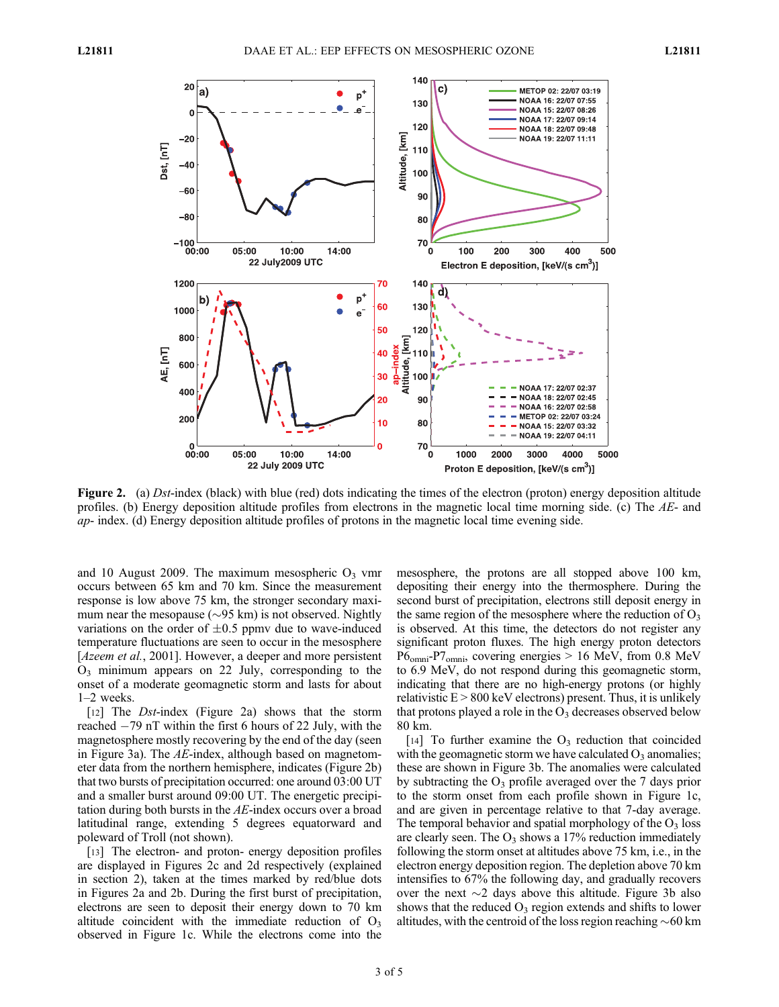

Figure 2. (a) Dst-index (black) with blue (red) dots indicating the times of the electron (proton) energy deposition altitude profiles. (b) Energy deposition altitude profiles from electrons in the magnetic local time morning side. (c) The  $AE$ - and ap- index. (d) Energy deposition altitude profiles of protons in the magnetic local time evening side.

and 10 August 2009. The maximum mesospheric  $O_3$  vmr occurs between 65 km and 70 km. Since the measurement response is low above 75 km, the stronger secondary maximum near the mesopause ( $\sim$ 95 km) is not observed. Nightly variations on the order of  $\pm 0.5$  ppmv due to wave-induced temperature fluctuations are seen to occur in the mesosphere [*Azeem et al.*, 2001]. However, a deeper and more persistent  $O_3$  minimum appears on 22 July, corresponding to the onset of a moderate geomagnetic storm and lasts for about 1–2 weeks.

[12] The *Dst*-index (Figure 2a) shows that the storm reached  $-79$  nT within the first 6 hours of 22 July, with the magnetosphere mostly recovering by the end of the day (seen in Figure 3a). The AE-index, although based on magnetometer data from the northern hemisphere, indicates (Figure 2b) that two bursts of precipitation occurred: one around 03:00 UT and a smaller burst around 09:00 UT. The energetic precipitation during both bursts in the  $AE$ -index occurs over a broad latitudinal range, extending 5 degrees equatorward and poleward of Troll (not shown).

[13] The electron- and proton- energy deposition profiles are displayed in Figures 2c and 2d respectively (explained in section 2), taken at the times marked by red/blue dots in Figures 2a and 2b. During the first burst of precipitation, electrons are seen to deposit their energy down to 70 km altitude coincident with the immediate reduction of  $O_3$ observed in Figure 1c. While the electrons come into the mesosphere, the protons are all stopped above 100 km, depositing their energy into the thermosphere. During the second burst of precipitation, electrons still deposit energy in the same region of the mesosphere where the reduction of  $O_3$ is observed. At this time, the detectors do not register any significant proton fluxes. The high energy proton detectors P6omni-P7omni, covering energies > 16 MeV, from 0.8 MeV to 6.9 MeV, do not respond during this geomagnetic storm, indicating that there are no high-energy protons (or highly relativistic  $E > 800$  keV electrons) present. Thus, it is unlikely that protons played a role in the  $O_3$  decreases observed below 80 km.

[14] To further examine the  $O_3$  reduction that coincided with the geomagnetic storm we have calculated  $O_3$  anomalies; these are shown in Figure 3b. The anomalies were calculated by subtracting the  $O_3$  profile averaged over the 7 days prior to the storm onset from each profile shown in Figure 1c, and are given in percentage relative to that 7-day average. The temporal behavior and spatial morphology of the  $O_3$  loss are clearly seen. The  $O_3$  shows a 17% reduction immediately following the storm onset at altitudes above 75 km, i.e., in the electron energy deposition region. The depletion above 70 km intensifies to 67% the following day, and gradually recovers over the next  $\sim$ 2 days above this altitude. Figure 3b also shows that the reduced  $O_3$  region extends and shifts to lower altitudes, with the centroid of the loss region reaching  $\sim 60$  km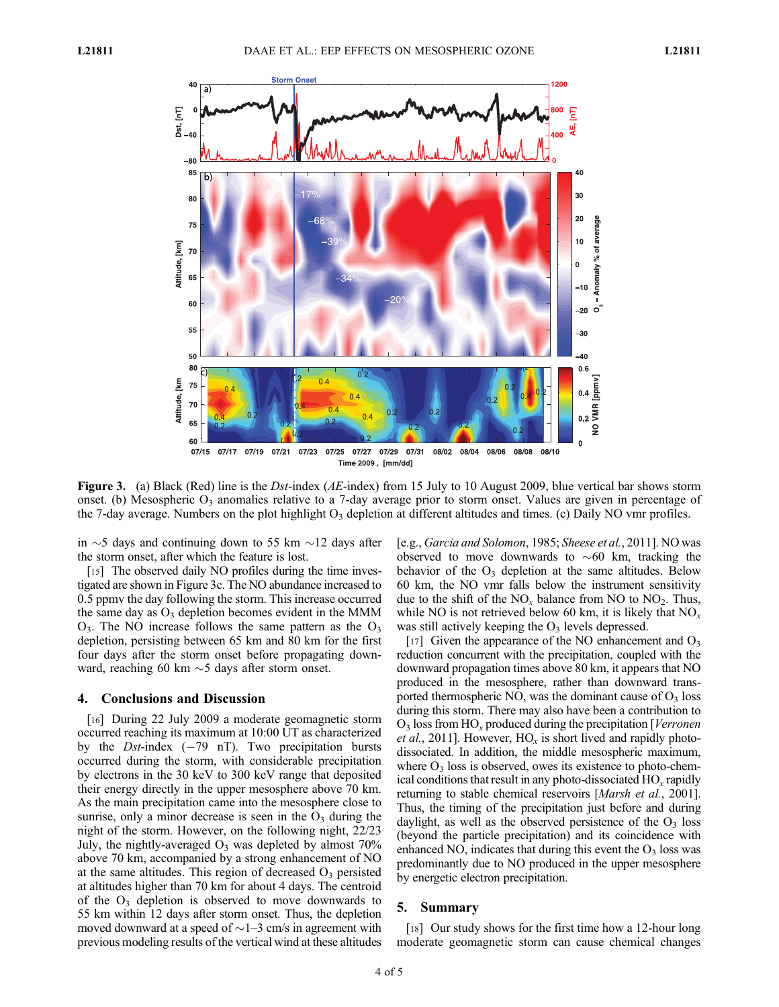

**Figure 3.** (a) Black (Red) line is the Dst-index (AE-index) from 15 July to 10 August 2009, blue vertical bar shows storm onset. (b) Mesospheric  $O_3$  anomalies relative to a 7-day average prior to storm onset. Values are given in percentage of the 7-day average. Numbers on the plot highlight  $O_3$  depletion at different altitudes and times. (c) Daily NO vmr profiles.

in  $\sim$  5 days and continuing down to 55 km  $\sim$ 12 days after the storm onset, after which the feature is lost.

[15] The observed daily NO profiles during the time investigated are shown in Figure 3c. The NO abundance increased to 0.5 ppmv the day following the storm. This increase occurred the same day as  $O_3$  depletion becomes evident in the MMM  $O_3$ . The NO increase follows the same pattern as the  $O_3$ depletion, persisting between 65 km and 80 km for the first four days after the storm onset before propagating downward, reaching 60 km  $\sim$  5 days after storm onset.

# 4. Conclusions and Discussion

[16] During 22 July 2009 a moderate geomagnetic storm occurred reaching its maximum at 10:00 UT as characterized by the *Dst*-index  $(-79 \text{ nT})$ . Two precipitation bursts occurred during the storm, with considerable precipitation by electrons in the 30 keV to 300 keV range that deposited their energy directly in the upper mesosphere above 70 km. As the main precipitation came into the mesosphere close to sunrise, only a minor decrease is seen in the  $O_3$  during the night of the storm. However, on the following night, 22/23 July, the nightly-averaged  $O_3$  was depleted by almost  $70\%$ above 70 km, accompanied by a strong enhancement of NO at the same altitudes. This region of decreased  $O<sub>3</sub>$  persisted at altitudes higher than 70 km for about 4 days. The centroid of the  $O_3$  depletion is observed to move downwards to 55 km within 12 days after storm onset. Thus, the depletion moved downward at a speed of  $\sim$  1–3 cm/s in agreement with previous modeling results of the vertical wind at these altitudes [e.g., Garcia and Solomon, 1985; Sheese et al., 2011]. NO was observed to move downwards to  $\sim 60$  km, tracking the behavior of the  $O_3$  depletion at the same altitudes. Below 60 km, the NO vmr falls below the instrument sensitivity due to the shift of the  $NO<sub>x</sub>$  balance from NO to  $NO<sub>2</sub>$ . Thus, while NO is not retrieved below 60 km, it is likely that  $NO<sub>x</sub>$ was still actively keeping the  $O_3$  levels depressed.

[17] Given the appearance of the NO enhancement and  $O_3$ reduction concurrent with the precipitation, coupled with the downward propagation times above 80 km, it appears that NO produced in the mesosphere, rather than downward transported thermospheric NO, was the dominant cause of  $O_3$  loss during this storm. There may also have been a contribution to  $O_3$  loss from HO<sub>x</sub> produced during the precipitation [*Verronen*] *et al.*, 2011]. However,  $HO_x$  is short lived and rapidly photodissociated. In addition, the middle mesospheric maximum, where  $O_3$  loss is observed, owes its existence to photo-chemical conditions that result in any photo-dissociated  $HO_x$  rapidly returning to stable chemical reservoirs [*Marsh et al.*, 2001]. Thus, the timing of the precipitation just before and during daylight, as well as the observed persistence of the  $O_3$  loss (beyond the particle precipitation) and its coincidence with enhanced NO, indicates that during this event the  $O_3$  loss was predominantly due to NO produced in the upper mesosphere by energetic electron precipitation.

## 5. Summary

[18] Our study shows for the first time how a 12-hour long moderate geomagnetic storm can cause chemical changes